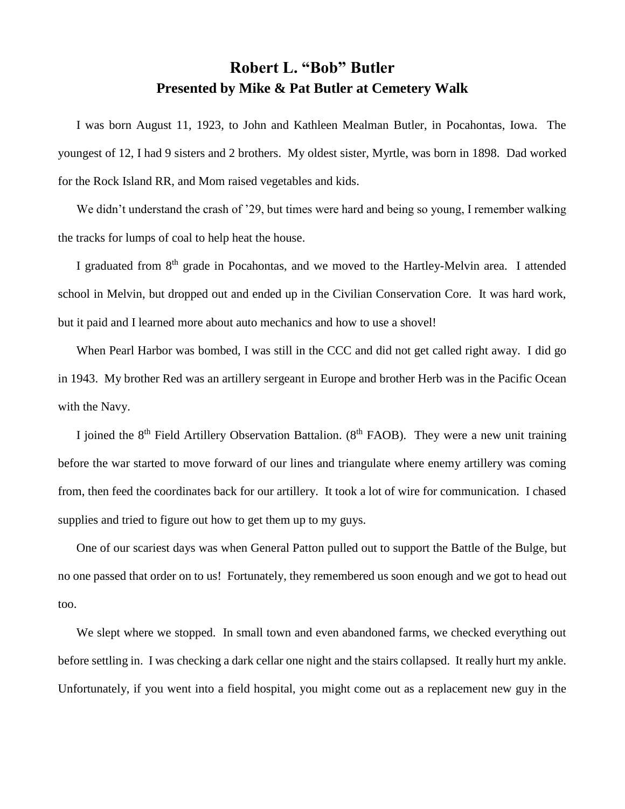## **Robert L. "Bob" Butler Presented by Mike & Pat Butler at Cemetery Walk**

I was born August 11, 1923, to John and Kathleen Mealman Butler, in Pocahontas, Iowa. The youngest of 12, I had 9 sisters and 2 brothers. My oldest sister, Myrtle, was born in 1898. Dad worked for the Rock Island RR, and Mom raised vegetables and kids.

We didn't understand the crash of '29, but times were hard and being so young, I remember walking the tracks for lumps of coal to help heat the house.

I graduated from 8<sup>th</sup> grade in Pocahontas, and we moved to the Hartley-Melvin area. I attended school in Melvin, but dropped out and ended up in the Civilian Conservation Core. It was hard work, but it paid and I learned more about auto mechanics and how to use a shovel!

When Pearl Harbor was bombed, I was still in the CCC and did not get called right away. I did go in 1943. My brother Red was an artillery sergeant in Europe and brother Herb was in the Pacific Ocean with the Navy.

I joined the  $8<sup>th</sup>$  Field Artillery Observation Battalion. ( $8<sup>th</sup>$  FAOB). They were a new unit training before the war started to move forward of our lines and triangulate where enemy artillery was coming from, then feed the coordinates back for our artillery. It took a lot of wire for communication. I chased supplies and tried to figure out how to get them up to my guys.

One of our scariest days was when General Patton pulled out to support the Battle of the Bulge, but no one passed that order on to us! Fortunately, they remembered us soon enough and we got to head out too.

We slept where we stopped. In small town and even abandoned farms, we checked everything out before settling in. I was checking a dark cellar one night and the stairs collapsed. It really hurt my ankle. Unfortunately, if you went into a field hospital, you might come out as a replacement new guy in the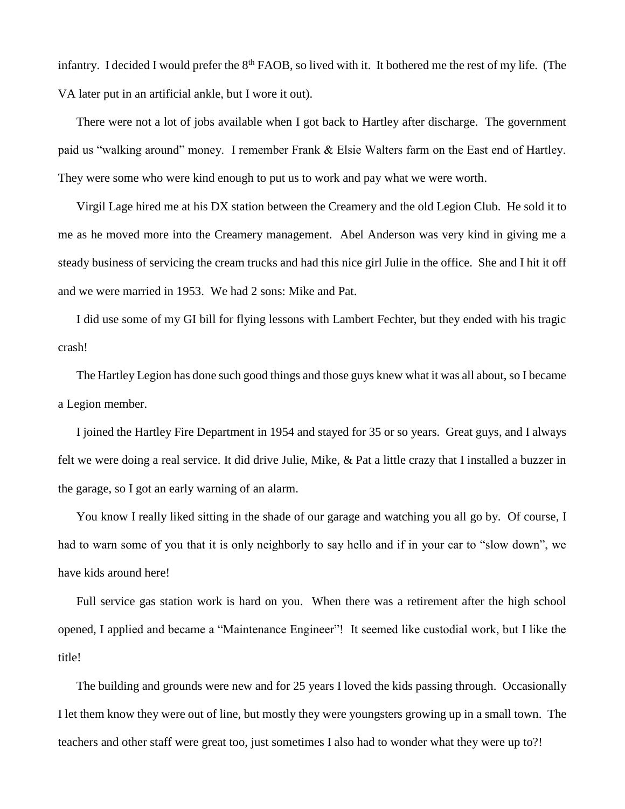infantry. I decided I would prefer the  $8<sup>th</sup>$  FAOB, so lived with it. It bothered me the rest of my life. (The VA later put in an artificial ankle, but I wore it out).

There were not a lot of jobs available when I got back to Hartley after discharge. The government paid us "walking around" money. I remember Frank & Elsie Walters farm on the East end of Hartley. They were some who were kind enough to put us to work and pay what we were worth.

Virgil Lage hired me at his DX station between the Creamery and the old Legion Club. He sold it to me as he moved more into the Creamery management. Abel Anderson was very kind in giving me a steady business of servicing the cream trucks and had this nice girl Julie in the office. She and I hit it off and we were married in 1953. We had 2 sons: Mike and Pat.

I did use some of my GI bill for flying lessons with Lambert Fechter, but they ended with his tragic crash!

The Hartley Legion has done such good things and those guys knew what it was all about, so I became a Legion member.

I joined the Hartley Fire Department in 1954 and stayed for 35 or so years. Great guys, and I always felt we were doing a real service. It did drive Julie, Mike, & Pat a little crazy that I installed a buzzer in the garage, so I got an early warning of an alarm.

You know I really liked sitting in the shade of our garage and watching you all go by. Of course, I had to warn some of you that it is only neighborly to say hello and if in your car to "slow down", we have kids around here!

Full service gas station work is hard on you. When there was a retirement after the high school opened, I applied and became a "Maintenance Engineer"! It seemed like custodial work, but I like the title!

The building and grounds were new and for 25 years I loved the kids passing through. Occasionally I let them know they were out of line, but mostly they were youngsters growing up in a small town. The teachers and other staff were great too, just sometimes I also had to wonder what they were up to?!